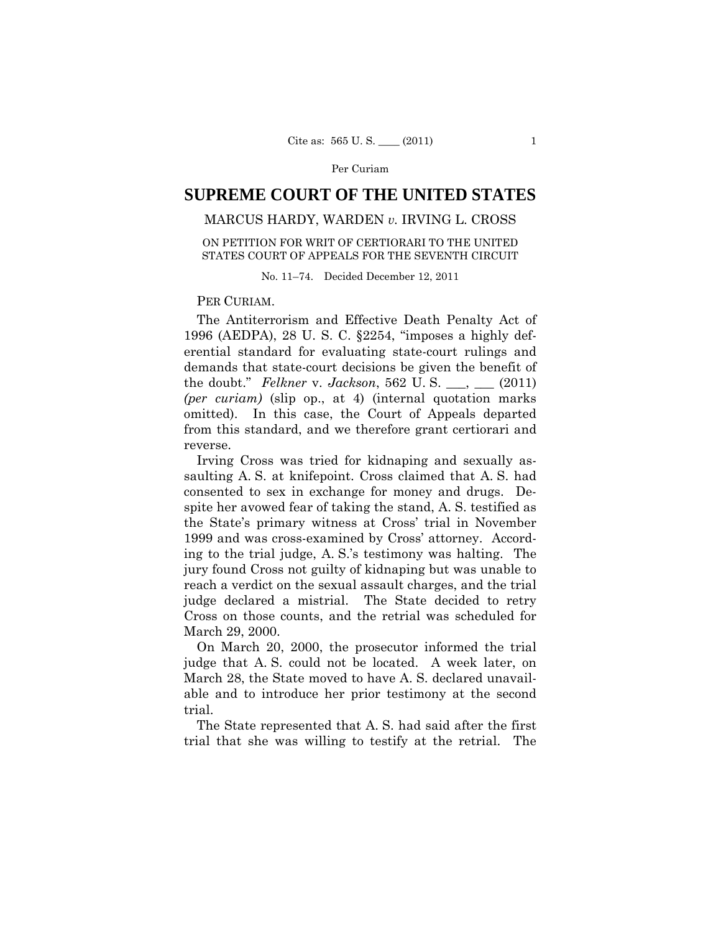# **SUPREME COURT OF THE UNITED STATES**

## MARCUS HARDY, WARDEN *v.* IRVING L. CROSS

## ON PETITION FOR WRIT OF CERTIORARI TO THE UNITED STATES COURT OF APPEALS FOR THE SEVENTH CIRCUIT

No. 11–74. Decided December 12, 2011

### PER CURIAM.

The Antiterrorism and Effective Death Penalty Act of 1996 (AEDPA), 28 U. S. C. §2254, "imposes a highly deferential standard for evaluating state-court rulings and demands that state-court decisions be given the benefit of the doubt." *Felkner* v. *Jackson*, 562 U. S. \_\_\_, \_\_\_ (2011) *(per curiam)* (slip op., at 4) (internal quotation marks omitted). In this case, the Court of Appeals departed from this standard, and we therefore grant certiorari and reverse.

Irving Cross was tried for kidnaping and sexually assaulting A. S. at knifepoint. Cross claimed that A. S. had consented to sex in exchange for money and drugs. Despite her avowed fear of taking the stand, A. S. testified as the State's primary witness at Cross' trial in November 1999 and was cross-examined by Cross' attorney. According to the trial judge, A. S.'s testimony was halting. The jury found Cross not guilty of kidnaping but was unable to reach a verdict on the sexual assault charges, and the trial judge declared a mistrial. The State decided to retry Cross on those counts, and the retrial was scheduled for March 29, 2000.

On March 20, 2000, the prosecutor informed the trial judge that A. S. could not be located. A week later, on March 28, the State moved to have A. S. declared unavailable and to introduce her prior testimony at the second trial.

The State represented that A. S. had said after the first trial that she was willing to testify at the retrial. The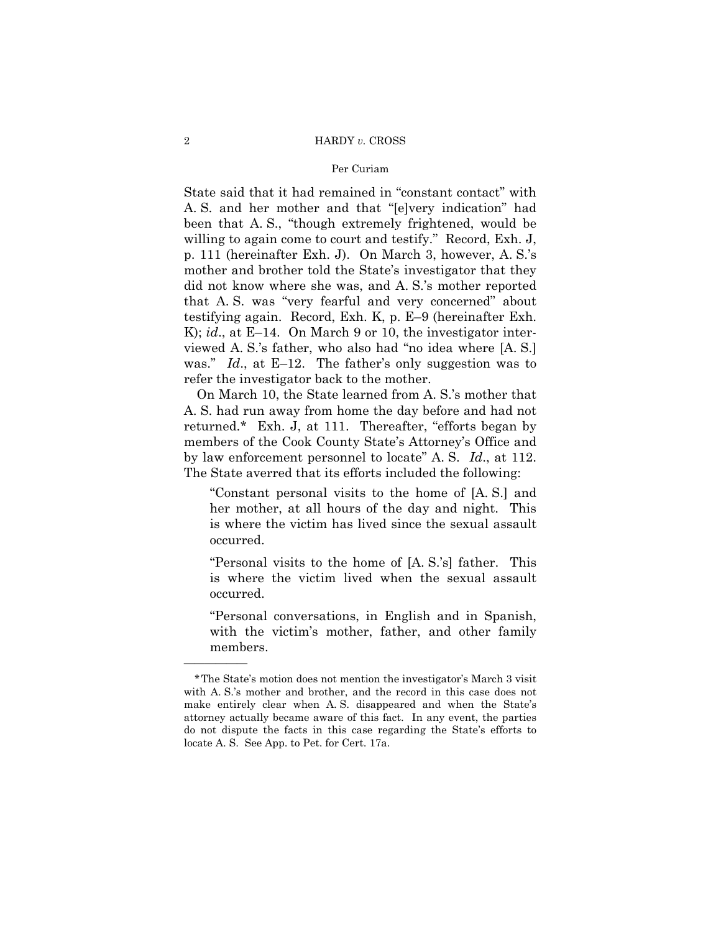#### 2 HARDY *v.* CROSS

#### Per Curiam

State said that it had remained in "constant contact" with A. S. and her mother and that "[e]very indication" had been that A. S., "though extremely frightened, would be willing to again come to court and testify." Record, Exh. J, p. 111 (hereinafter Exh. J). On March 3, however, A. S.'s mother and brother told the State's investigator that they did not know where she was, and A. S.'s mother reported that A. S. was "very fearful and very concerned" about testifying again. Record, Exh. K, p. E–9 (hereinafter Exh. K); *id.*, at E–14. On March 9 or 10, the investigator interviewed A. S.'s father, who also had "no idea where [A. S.] was." *Id*., at E–12. The father's only suggestion was to refer the investigator back to the mother.

 by law enforcement personnel to locate" A. S. *Id*., at 112. On March 10, the State learned from A. S.'s mother that A. S. had run away from home the day before and had not returned.\* Exh. J, at 111. Thereafter, "efforts began by members of the Cook County State's Attorney's Office and The State averred that its efforts included the following:

"Constant personal visits to the home of [A. S.] and her mother, at all hours of the day and night. This is where the victim has lived since the sexual assault occurred.

"Personal visits to the home of [A. S.'s] father. This is where the victim lived when the sexual assault occurred.

"Personal conversations, in English and in Spanish, with the victim's mother, father, and other family members.

——————

<sup>\*</sup>The State's motion does not mention the investigator's March 3 visit with A. S.'s mother and brother, and the record in this case does not make entirely clear when A. S. disappeared and when the State's attorney actually became aware of this fact. In any event, the parties do not dispute the facts in this case regarding the State's efforts to locate A. S. See App. to Pet. for Cert. 17a.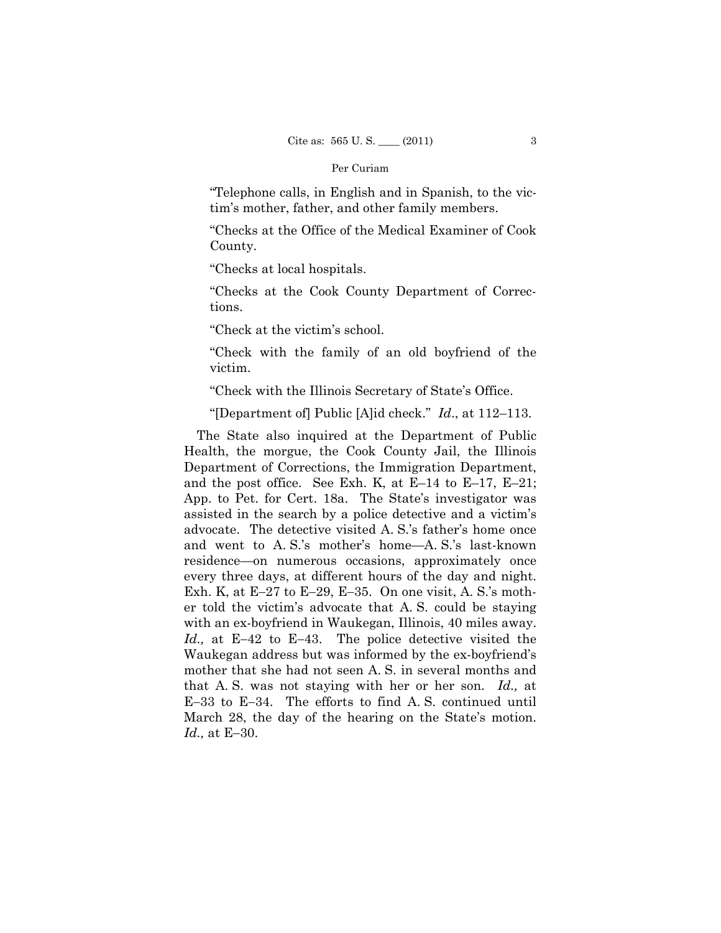"Telephone calls, in English and in Spanish, to the victim's mother, father, and other family members.

"Checks at the Office of the Medical Examiner of Cook County.

"Checks at local hospitals.

"Checks at the Cook County Department of Corrections.

"Check at the victim's school.

"Check with the family of an old boyfriend of the victim.

"Check with the Illinois Secretary of State's Office.

"[Department of] Public [A]id check." *Id*., at 112–113.

The State also inquired at the Department of Public Health, the morgue, the Cook County Jail, the Illinois Department of Corrections, the Immigration Department, and the post office. See Exh. K, at E–14 to E–17, E–21; App. to Pet. for Cert. 18a. The State's investigator was assisted in the search by a police detective and a victim's advocate. The detective visited A. S.'s father's home once and went to A. S.'s mother's home—A. S.'s last-known residence—on numerous occasions, approximately once every three days, at different hours of the day and night. Exh. K, at  $E-27$  to  $E-29$ ,  $E-35$ . On one visit, A. S.'s mother told the victim's advocate that A. S. could be staying with an ex-boyfriend in Waukegan, Illinois, 40 miles away. *Id.*, at E-42 to E-43. The police detective visited the Waukegan address but was informed by the ex-boyfriend's mother that she had not seen A. S. in several months and that A. S. was not staying with her or her son. *Id.,* at  $E-33$  to  $E-34$ . The efforts to find A.S. continued until March 28, the day of the hearing on the State's motion. *Id.*, at E-30.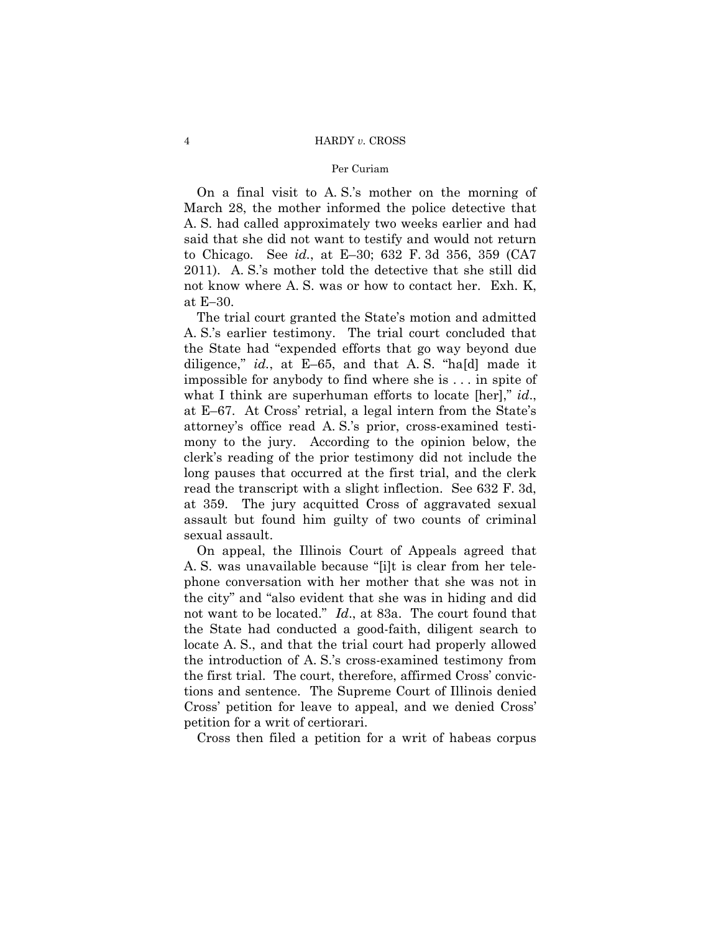## 4 HARDY *v.* CROSS

#### Per Curiam

 not know where A. S. was or how to contact her. Exh. K, On a final visit to A. S.'s mother on the morning of March 28, the mother informed the police detective that A. S. had called approximately two weeks earlier and had said that she did not want to testify and would not return to Chicago. See *id.*, at E–30; 632 F. 3d 356, 359 (CA7 2011). A. S.'s mother told the detective that she still did at  $E-30$ .

The trial court granted the State's motion and admitted A. S.'s earlier testimony. The trial court concluded that the State had "expended efforts that go way beyond due diligence," *id.*, at E–65, and that A. S. "ha[d] made it impossible for anybody to find where she is . . . in spite of what I think are superhuman efforts to locate [her]," *id*., at E–67. At Cross' retrial, a legal intern from the State's attorney's office read A. S.'s prior, cross-examined testimony to the jury. According to the opinion below, the clerk's reading of the prior testimony did not include the long pauses that occurred at the first trial, and the clerk read the transcript with a slight inflection. See 632 F. 3d, at 359. The jury acquitted Cross of aggravated sexual assault but found him guilty of two counts of criminal sexual assault.

On appeal, the Illinois Court of Appeals agreed that A. S. was unavailable because "[i]t is clear from her telephone conversation with her mother that she was not in the city" and "also evident that she was in hiding and did not want to be located." *Id*., at 83a. The court found that the State had conducted a good-faith, diligent search to locate A. S., and that the trial court had properly allowed the introduction of A. S.'s cross-examined testimony from the first trial. The court, therefore, affirmed Cross' convictions and sentence. The Supreme Court of Illinois denied Cross' petition for leave to appeal, and we denied Cross' petition for a writ of certiorari.

Cross then filed a petition for a writ of habeas corpus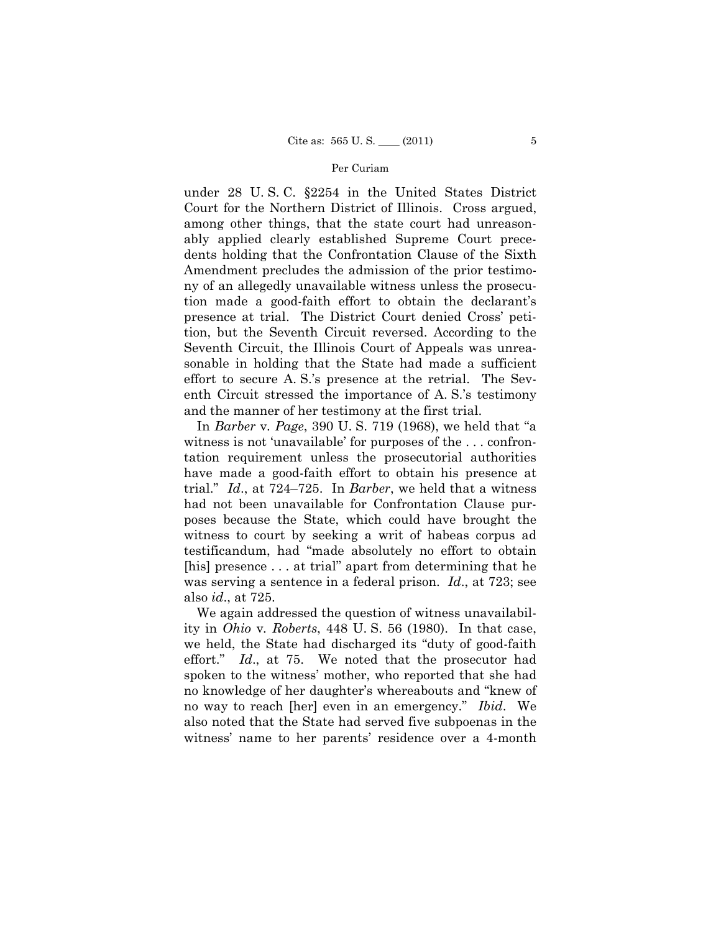under 28 U. S. C. §2254 in the United States District Court for the Northern District of Illinois. Cross argued, among other things, that the state court had unreasonably applied clearly established Supreme Court precedents holding that the Confrontation Clause of the Sixth Amendment precludes the admission of the prior testimony of an allegedly unavailable witness unless the prosecution made a good-faith effort to obtain the declarant's presence at trial. The District Court denied Cross' petition, but the Seventh Circuit reversed. According to the Seventh Circuit, the Illinois Court of Appeals was unreasonable in holding that the State had made a sufficient effort to secure A. S.'s presence at the retrial. The Seventh Circuit stressed the importance of A. S.'s testimony and the manner of her testimony at the first trial.

 was serving a sentence in a federal prison. *Id*., at 723; see In *Barber* v*. Page*, 390 U. S. 719 (1968), we held that "a witness is not 'unavailable' for purposes of the . . . confrontation requirement unless the prosecutorial authorities have made a good-faith effort to obtain his presence at trial." *Id*., at 724–725. In *Barber*, we held that a witness had not been unavailable for Confrontation Clause purposes because the State, which could have brought the witness to court by seeking a writ of habeas corpus ad testificandum, had "made absolutely no effort to obtain [his] presence . . . at trial" apart from determining that he also *id*., at 725.

We again addressed the question of witness unavailability in *Ohio* v*. Roberts*, 448 U. S. 56 (1980). In that case, we held, the State had discharged its "duty of good-faith effort." *Id*., at 75. We noted that the prosecutor had spoken to the witness' mother, who reported that she had no knowledge of her daughter's whereabouts and "knew of no way to reach [her] even in an emergency." *Ibid*. We also noted that the State had served five subpoenas in the witness' name to her parents' residence over a 4-month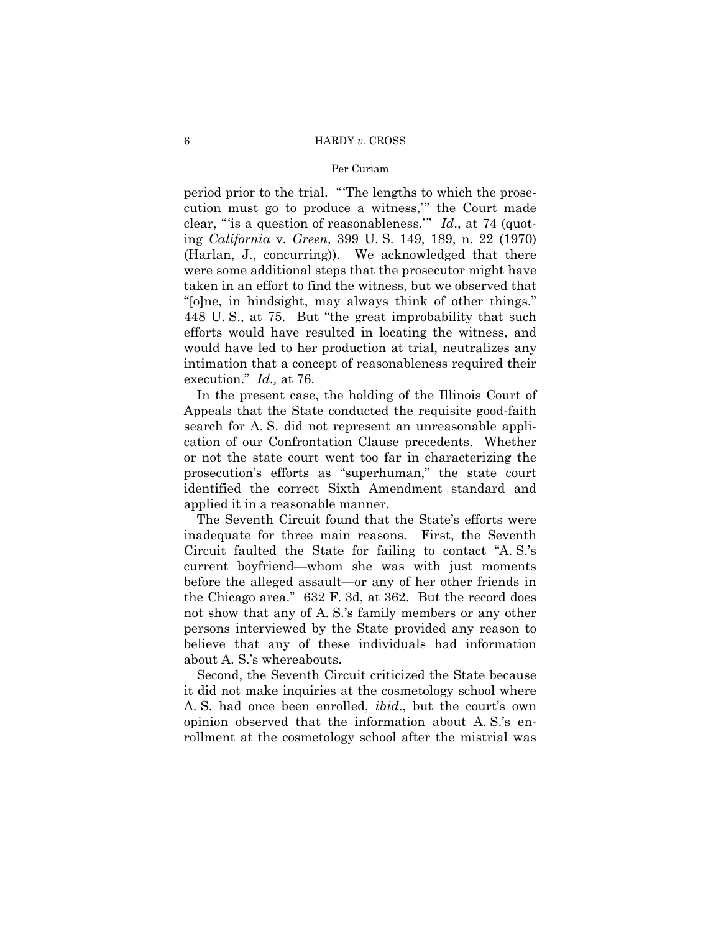period prior to the trial. "'The lengths to which the prosecution must go to produce a witness,'" the Court made clear, "'is a question of reasonableness.'" *Id*., at 74 (quoting *California* v*. Green*, 399 U. S. 149, 189, n. 22 (1970) (Harlan, J., concurring)). We acknowledged that there were some additional steps that the prosecutor might have taken in an effort to find the witness, but we observed that "[o]ne, in hindsight, may always think of other things." 448 U. S., at 75. But "the great improbability that such efforts would have resulted in locating the witness, and would have led to her production at trial, neutralizes any intimation that a concept of reasonableness required their execution." *Id.,* at 76.

In the present case, the holding of the Illinois Court of Appeals that the State conducted the requisite good-faith search for A. S. did not represent an unreasonable application of our Confrontation Clause precedents. Whether or not the state court went too far in characterizing the prosecution's efforts as "superhuman," the state court identified the correct Sixth Amendment standard and applied it in a reasonable manner.

The Seventh Circuit found that the State's efforts were inadequate for three main reasons. First, the Seventh Circuit faulted the State for failing to contact "A. S.'s current boyfriend—whom she was with just moments before the alleged assault—or any of her other friends in the Chicago area." 632 F. 3d, at 362. But the record does not show that any of A. S.'s family members or any other persons interviewed by the State provided any reason to believe that any of these individuals had information about A. S.'s whereabouts.

Second, the Seventh Circuit criticized the State because it did not make inquiries at the cosmetology school where A. S. had once been enrolled, *ibid*., but the court's own opinion observed that the information about A. S.'s enrollment at the cosmetology school after the mistrial was